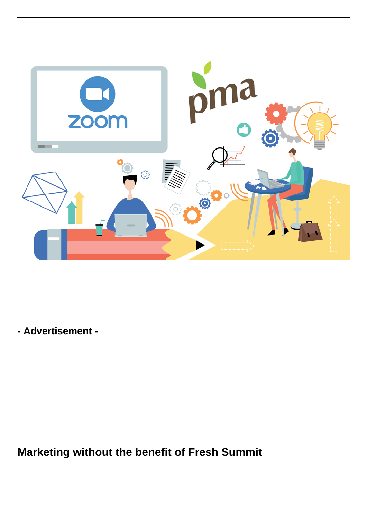

**- Advertisement -**

**Marketing without the benefit of Fresh Summit**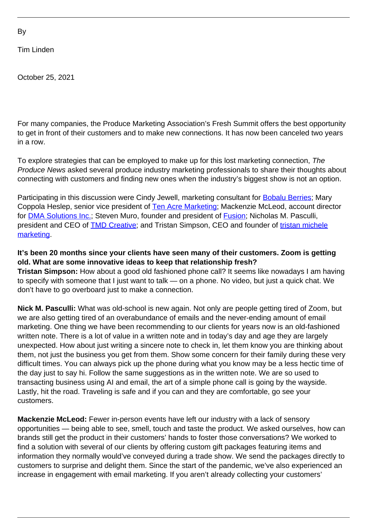Tim Linden

October 25, 2021

For many companies, the Produce Marketing Association's Fresh Summit offers the best opportunity to get in front of their customers and to make new connections. It has now been canceled two years in a row.

To explore strategies that can be employed to make up for this lost marketing connection, The Produce News asked several produce industry marketing professionals to share their thoughts about connecting with customers and finding new ones when the industry's biggest show is not an option.

Participating in this discussion were Cindy Jewell, marketing consultant for **Bobalu Berries**; Mary Coppola Heslep, senior vice president of [Ten Acre Marketing;](https://www.tenacremarketing.com/) Mackenzie McLeod, account director for **DMA Solutions Inc.**; Steven Muro, founder and president of **Fusion**; Nicholas M. Pasculli, president and CEO of [TMD Creative](https://www.tmdcreative.com/); and Tristan Simpson, CEO and founder of [tristan michele](https://tristanmichelemarketing.com/) [marketing](https://tristanmichelemarketing.com/).

## **It's been 20 months since your clients have seen many of their customers. Zoom is getting old. What are some innovative ideas to keep that relationship fresh?**

**Tristan Simpson:** How about a good old fashioned phone call? It seems like nowadays I am having to specify with someone that I just want to talk — on a phone. No video, but just a quick chat. We don't have to go overboard just to make a connection.

**Nick M. Pasculli:** What was old-school is new again. Not only are people getting tired of Zoom, but we are also getting tired of an overabundance of emails and the never-ending amount of email marketing. One thing we have been recommending to our clients for years now is an old-fashioned written note. There is a lot of value in a written note and in today's day and age they are largely unexpected. How about just writing a sincere note to check in, let them know you are thinking about them, not just the business you get from them. Show some concern for their family during these very difficult times. You can always pick up the phone during what you know may be a less hectic time of the day just to say hi. Follow the same suggestions as in the written note. We are so used to transacting business using AI and email, the art of a simple phone call is going by the wayside. Lastly, hit the road. Traveling is safe and if you can and they are comfortable, go see your customers.

**Mackenzie McLeod:** Fewer in-person events have left our industry with a lack of sensory opportunities — being able to see, smell, touch and taste the product. We asked ourselves, how can brands still get the product in their customers' hands to foster those conversations? We worked to find a solution with several of our clients by offering custom gift packages featuring items and information they normally would've conveyed during a trade show. We send the packages directly to customers to surprise and delight them. Since the start of the pandemic, we've also experienced an increase in engagement with email marketing. If you aren't already collecting your customers'

By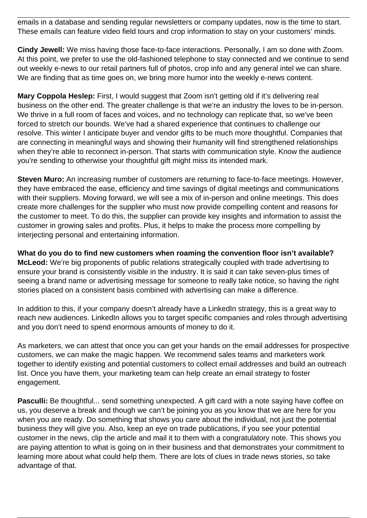emails in a database and sending regular newsletters or company updates, now is the time to start. These emails can feature video field tours and crop information to stay on your customers' minds.

**Cindy Jewell:** We miss having those face-to-face interactions. Personally, I am so done with Zoom. At this point, we prefer to use the old-fashioned telephone to stay connected and we continue to send out weekly e-news to our retail partners full of photos, crop info and any general intel we can share. We are finding that as time goes on, we bring more humor into the weekly e-news content.

**Mary Coppola Heslep:** First, I would suggest that Zoom isn't getting old if it's delivering real business on the other end. The greater challenge is that we're an industry the loves to be in-person. We thrive in a full room of faces and voices, and no technology can replicate that, so we've been forced to stretch our bounds. We've had a shared experience that continues to challenge our resolve. This winter I anticipate buyer and vendor gifts to be much more thoughtful. Companies that are connecting in meaningful ways and showing their humanity will find strengthened relationships when they're able to reconnect in-person. That starts with communication style. Know the audience you're sending to otherwise your thoughtful gift might miss its intended mark.

**Steven Muro:** An increasing number of customers are returning to face-to-face meetings. However, they have embraced the ease, efficiency and time savings of digital meetings and communications with their suppliers. Moving forward, we will see a mix of in-person and online meetings. This does create more challenges for the supplier who must now provide compelling content and reasons for the customer to meet. To do this, the supplier can provide key insights and information to assist the customer in growing sales and profits. Plus, it helps to make the process more compelling by interjecting personal and entertaining information.

**What do you do to find new customers when roaming the convention floor isn't available? McLeod:** We're big proponents of public relations strategically coupled with trade advertising to ensure your brand is consistently visible in the industry. It is said it can take seven-plus times of seeing a brand name or advertising message for someone to really take notice, so having the right stories placed on a consistent basis combined with advertising can make a difference.

In addition to this, if your company doesn't already have a LinkedIn strategy, this is a great way to reach new audiences. LinkedIn allows you to target specific companies and roles through advertising and you don't need to spend enormous amounts of money to do it.

As marketers, we can attest that once you can get your hands on the email addresses for prospective customers, we can make the magic happen. We recommend sales teams and marketers work together to identify existing and potential customers to collect email addresses and build an outreach list. Once you have them, your marketing team can help create an email strategy to foster engagement.

**Pasculli:** Be thoughtful... send something unexpected. A gift card with a note saying have coffee on us, you deserve a break and though we can't be joining you as you know that we are here for you when you are ready. Do something that shows you care about the individual, not just the potential business they will give you. Also, keep an eye on trade publications, if you see your potential customer in the news, clip the article and mail it to them with a congratulatory note. This shows you are paying attention to what is going on in their business and that demonstrates your commitment to learning more about what could help them. There are lots of clues in trade news stories, so take advantage of that.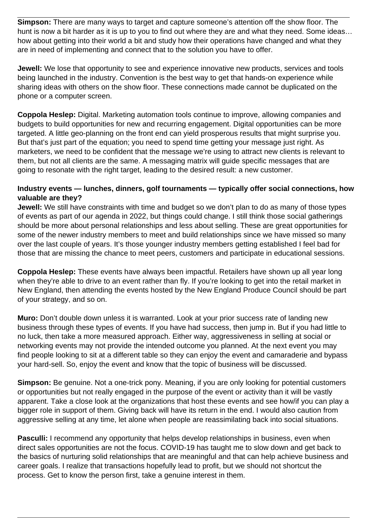**Simpson:** There are many ways to target and capture someone's attention off the show floor. The hunt is now a bit harder as it is up to you to find out where they are and what they need. Some ideas… how about getting into their world a bit and study how their operations have changed and what they are in need of implementing and connect that to the solution you have to offer.

**Jewell:** We lose that opportunity to see and experience innovative new products, services and tools being launched in the industry. Convention is the best way to get that hands-on experience while sharing ideas with others on the show floor. These connections made cannot be duplicated on the phone or a computer screen.

**Coppola Heslep:** Digital. Marketing automation tools continue to improve, allowing companies and budgets to build opportunities for new and recurring engagement. Digital opportunities can be more targeted. A little geo-planning on the front end can yield prosperous results that might surprise you. But that's just part of the equation; you need to spend time getting your message just right. As marketers, we need to be confident that the message we're using to attract new clients is relevant to them, but not all clients are the same. A messaging matrix will guide specific messages that are going to resonate with the right target, leading to the desired result: a new customer.

## **Industry events — lunches, dinners, golf tournaments — typically offer social connections, how valuable are they?**

**Jewell:** We still have constraints with time and budget so we don't plan to do as many of those types of events as part of our agenda in 2022, but things could change. I still think those social gatherings should be more about personal relationships and less about selling. These are great opportunities for some of the newer industry members to meet and build relationships since we have missed so many over the last couple of years. It's those younger industry members getting established I feel bad for those that are missing the chance to meet peers, customers and participate in educational sessions.

**Coppola Heslep:** These events have always been impactful. Retailers have shown up all year long when they're able to drive to an event rather than fly. If you're looking to get into the retail market in New England, then attending the events hosted by the New England Produce Council should be part of your strategy, and so on.

**Muro:** Don't double down unless it is warranted. Look at your prior success rate of landing new business through these types of events. If you have had success, then jump in. But if you had little to no luck, then take a more measured approach. Either way, aggressiveness in selling at social or networking events may not provide the intended outcome you planned. At the next event you may find people looking to sit at a different table so they can enjoy the event and camaraderie and bypass your hard-sell. So, enjoy the event and know that the topic of business will be discussed.

**Simpson:** Be genuine. Not a one-trick pony. Meaning, if you are only looking for potential customers or opportunities but not really engaged in the purpose of the event or activity than it will be vastly apparent. Take a close look at the organizations that host these events and see how/if you can play a bigger role in support of them. Giving back will have its return in the end. I would also caution from aggressive selling at any time, let alone when people are reassimilating back into social situations.

**Pasculli:** I recommend any opportunity that helps develop relationships in business, even when direct sales opportunities are not the focus. COVID-19 has taught me to slow down and get back to the basics of nurturing solid relationships that are meaningful and that can help achieve business and career goals. I realize that transactions hopefully lead to profit, but we should not shortcut the process. Get to know the person first, take a genuine interest in them.